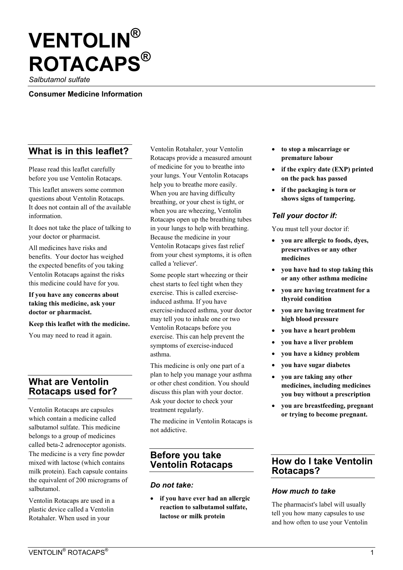# **VENTOLIN® ROTACAPS®**

*Salbutamol sulfate* 

**Consumer Medicine Information** 

# **What is in this leaflet?**

Please read this leaflet carefully before you use Ventolin Rotacaps.

This leaflet answers some common questions about Ventolin Rotacaps. It does not contain all of the available information.

It does not take the place of talking to your doctor or pharmacist.

All medicines have risks and benefits. Your doctor has weighed the expected benefits of you taking Ventolin Rotacaps against the risks this medicine could have for you.

#### **If you have any concerns about taking this medicine, ask your doctor or pharmacist.**

**Keep this leaflet with the medicine.** 

You may need to read it again.

# **What are Ventolin Rotacaps used for?**

Ventolin Rotacaps are capsules which contain a medicine called salbutamol sulfate. This medicine belongs to a group of medicines called beta-2 adrenoceptor agonists. The medicine is a very fine powder mixed with lactose (which contains milk protein). Each capsule contains the equivalent of 200 micrograms of salbutamol.

Ventolin Rotacaps are used in a plastic device called a Ventolin Rotahaler. When used in your

Ventolin Rotahaler, your Ventolin Rotacaps provide a measured amount of medicine for you to breathe into your lungs. Your Ventolin Rotacaps help you to breathe more easily. When you are having difficulty breathing, or your chest is tight, or when you are wheezing, Ventolin Rotacaps open up the breathing tubes in your lungs to help with breathing. Because the medicine in your Ventolin Rotacaps gives fast relief from your chest symptoms, it is often called a 'reliever'.

Some people start wheezing or their chest starts to feel tight when they exercise. This is called exerciseinduced asthma. If you have exercise-induced asthma, your doctor may tell you to inhale one or two Ventolin Rotacaps before you exercise. This can help prevent the symptoms of exercise-induced asthma.

This medicine is only one part of a plan to help you manage your asthma or other chest condition. You should discuss this plan with your doctor. Ask your doctor to check your treatment regularly.

The medicine in Ventolin Rotacaps is not addictive.

# **Before you take Ventolin Rotacaps**

#### *Do not take:*

• **if you have ever had an allergic reaction to salbutamol sulfate, lactose or milk protein** 

- **to stop a miscarriage or premature labour**
- **if the expiry date (EXP) printed on the pack has passed**
- **if the packaging is torn or shows signs of tampering.**

#### *Tell your doctor if:*

You must tell your doctor if:

- **you are allergic to foods, dyes, preservatives or any other medicines**
- **you have had to stop taking this or any other asthma medicine**
- **you are having treatment for a thyroid condition**
- **you are having treatment for high blood pressure**
- **you have a heart problem**
- **you have a liver problem**
- **you have a kidney problem**
- **you have sugar diabetes**
- **you are taking any other medicines, including medicines you buy without a prescription**
- **you are breastfeeding, pregnant or trying to become pregnant.**

## **How do I take Ventolin Rotacaps?**

#### *How much to take*

The pharmacist's label will usually tell you how many capsules to use and how often to use your Ventolin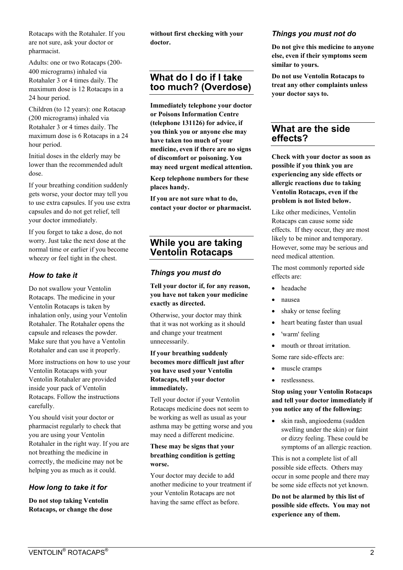Rotacaps with the Rotahaler. If you are not sure, ask your doctor or pharmacist.

Adults: one or two Rotacaps (200- 400 micrograms) inhaled via Rotahaler 3 or 4 times daily. The maximum dose is 12 Rotacaps in a 24 hour period.

Children (to 12 years): one Rotacap (200 micrograms) inhaled via Rotahaler 3 or 4 times daily. The maximum dose is 6 Rotacaps in a 24 hour period.

Initial doses in the elderly may be lower than the recommended adult dose.

If your breathing condition suddenly gets worse, your doctor may tell you to use extra capsules. If you use extra capsules and do not get relief, tell your doctor immediately.

If you forget to take a dose, do not worry. Just take the next dose at the normal time or earlier if you become wheezy or feel tight in the chest.

## *How to take it*

Do not swallow your Ventolin Rotacaps. The medicine in your Ventolin Rotacaps is taken by inhalation only, using your Ventolin Rotahaler. The Rotahaler opens the capsule and releases the powder. Make sure that you have a Ventolin Rotahaler and can use it properly.

More instructions on how to use your Ventolin Rotacaps with your Ventolin Rotahaler are provided inside your pack of Ventolin Rotacaps. Follow the instructions carefully.

You should visit your doctor or pharmacist regularly to check that you are using your Ventolin Rotahaler in the right way. If you are not breathing the medicine in correctly, the medicine may not be helping you as much as it could.

## *How long to take it for*

**Do not stop taking Ventolin Rotacaps, or change the dose**  **without first checking with your doctor.** 

# **What do I do if I take too much? (Overdose)**

**Immediately telephone your doctor or Poisons Information Centre (telephone 131126) for advice, if you think you or anyone else may have taken too much of your medicine, even if there are no signs of discomfort or poisoning. You may need urgent medical attention.** 

**Keep telephone numbers for these places handy.** 

**If you are not sure what to do, contact your doctor or pharmacist.** 

# **While you are taking Ventolin Rotacaps**

## *Things you must do*

**Tell your doctor if, for any reason, you have not taken your medicine exactly as directed.** 

Otherwise, your doctor may think that it was not working as it should and change your treatment unnecessarily.

#### **If your breathing suddenly becomes more difficult just after you have used your Ventolin Rotacaps, tell your doctor immediately.**

Tell your doctor if your Ventolin Rotacaps medicine does not seem to be working as well as usual as your asthma may be getting worse and you may need a different medicine.

#### **These may be signs that your breathing condition is getting worse.**

Your doctor may decide to add another medicine to your treatment if your Ventolin Rotacaps are not having the same effect as before.

#### *Things you must not do*

**Do not give this medicine to anyone else, even if their symptoms seem similar to yours.** 

**Do not use Ventolin Rotacaps to treat any other complaints unless your doctor says to.** 

# **What are the side effects?**

**Check with your doctor as soon as possible if you think you are experiencing any side effects or allergic reactions due to taking Ventolin Rotacaps, even if the problem is not listed below.** 

Like other medicines, Ventolin Rotacaps can cause some side effects. If they occur, they are most likely to be minor and temporary. However, some may be serious and need medical attention.

The most commonly reported side effects are:

- headache
- nausea
- shaky or tense feeling
- heart beating faster than usual
- 'warm' feeling
- mouth or throat irritation.

Some rare side-effects are:

- muscle cramps
- restlessness.

#### **Stop using your Ventolin Rotacaps and tell your doctor immediately if you notice any of the following:**

• skin rash, angioedema (sudden swelling under the skin) or faint or dizzy feeling. These could be symptoms of an allergic reaction.

This is not a complete list of all possible side effects. Others may occur in some people and there may be some side effects not yet known.

**Do not be alarmed by this list of possible side effects. You may not experience any of them.**